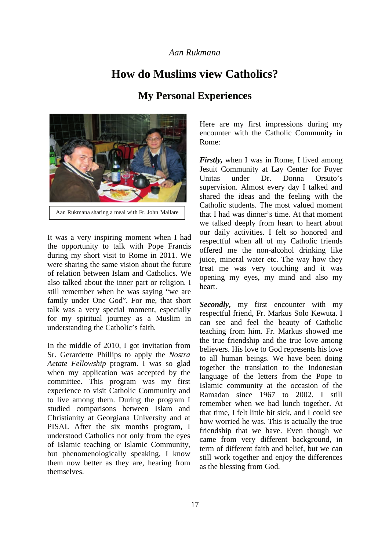## *Aan Rukmana*

## **How do Muslims view Catholics?**

## **My Personal Experiences**



It was a very inspiring moment when I had the opportunity to talk with Pope Francis during my short visit to Rome in 2011. We were sharing the same vision about the future of relation between Islam and Catholics. We also talked about the inner part or religion. I still remember when he was saying "we are family under One God". For me, that short talk was a very special moment, especially for my spiritual journey as a Muslim in understanding the Catholic's faith.

In the middle of 2010, I got invitation from Sr. Gerardette Phillips to apply the *Nostra Aetate Fellowship* program. I was so glad when my application was accepted by the committee. This program was my first experience to visit Catholic Community and to live among them. During the program I studied comparisons between Islam and Christianity at Georgiana University and at PISAI. After the six months program, I understood Catholics not only from the eyes of Islamic teaching or Islamic Community, but phenomenologically speaking, I know them now better as they are, hearing from themselves.

Here are my first impressions during my encounter with the Catholic Community in Rome:

*Firstly,* when I was in Rome, I lived among Jesuit Community at Lay Center for Foyer Unitas under Dr. Donna Orsuto's supervision. Almost every day I talked and shared the ideas and the feeling with the Catholic students. The most valued moment that I had was dinner's time. At that moment we talked deeply from heart to heart about our daily activities. I felt so honored and respectful when all of my Catholic friends offered me the non-alcohol drinking like juice, mineral water etc. The way how they treat me was very touching and it was opening my eyes, my mind and also my heart.

*Secondly***,** my first encounter with my respectful friend, Fr. Markus Solo Kewuta. I can see and feel the beauty of Catholic teaching from him. Fr. Markus showed me the true friendship and the true love among believers. His love to God represents his love to all human beings. We have been doing together the translation to the Indonesian language of the letters from the Pope to Islamic community at the occasion of the Ramadan since 1967 to 2002. I still remember when we had lunch together. At that time, I felt little bit sick, and I could see how worried he was. This is actually the true friendship that we have. Even though we came from very different background, in term of different faith and belief, but we can still work together and enjoy the differences as the blessing from God.